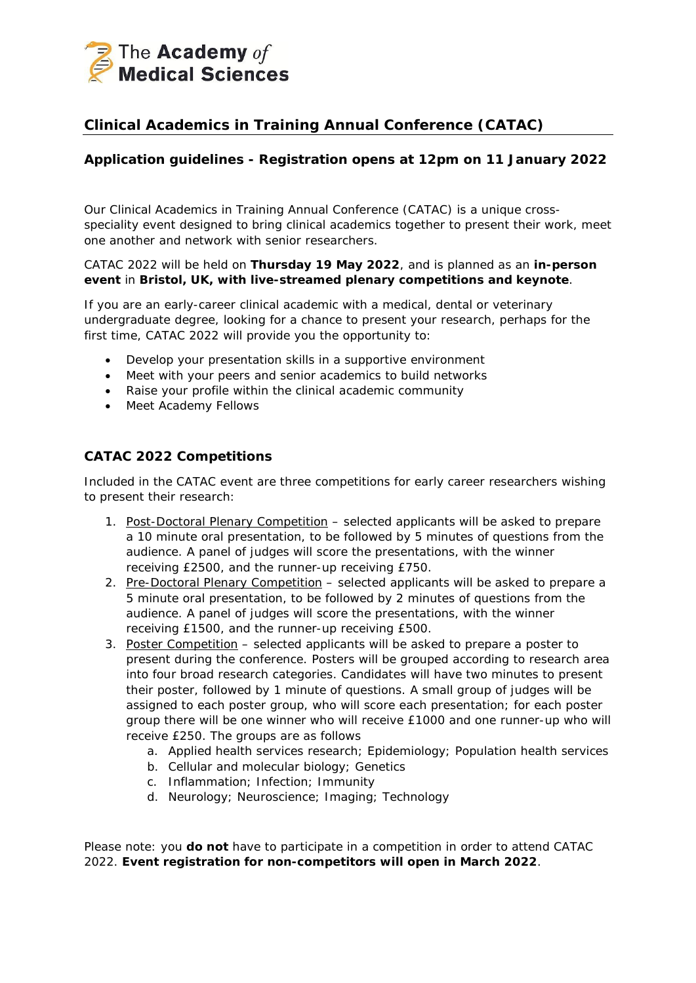

# **Clinical Academics in Training Annual Conference (CATAC)**

## **Application guidelines - Registration opens at 12pm on 11 January 2022**

Our Clinical Academics in Training Annual Conference (CATAC) is a unique crossspeciality event designed to bring clinical academics together to present their work, meet one another and network with senior researchers.

#### CATAC 2022 will be held on **Thursday 19 May 2022**, and is planned as an **in-person event** in **Bristol, UK, with live-streamed plenary competitions and keynote**.

If you are an early-career clinical academic with a medical, dental or veterinary undergraduate degree, looking for a chance to present your research, perhaps for the first time, CATAC 2022 will provide you the opportunity to:

- Develop your presentation skills in a supportive environment
- Meet with your peers and senior academics to build networks
- Raise your profile within the clinical academic community
- Meet Academy Fellows

### **CATAC 2022 Competitions**

Included in the CATAC event are three competitions for early career researchers wishing to present their research:

- 1. Post-Doctoral Plenary Competition selected applicants will be asked to prepare a 10 minute oral presentation, to be followed by 5 minutes of questions from the audience. A panel of judges will score the presentations, with the winner receiving £2500, and the runner-up receiving £750.
- 2. Pre-Doctoral Plenary Competition selected applicants will be asked to prepare a 5 minute oral presentation, to be followed by 2 minutes of questions from the audience. A panel of judges will score the presentations, with the winner receiving £1500, and the runner-up receiving £500.
- 3. Poster Competition selected applicants will be asked to prepare a poster to present during the conference. Posters will be grouped according to research area into four broad research categories. Candidates will have two minutes to present their poster, followed by 1 minute of questions. A small group of judges will be assigned to each poster group, who will score each presentation; for each poster group there will be one winner who will receive £1000 and one runner-up who will receive £250. The groups are as follows
	- a. Applied health services research; Epidemiology; Population health services
	- b. Cellular and molecular biology; Genetics
	- c. Inflammation; Infection; Immunity
	- d. Neurology; Neuroscience; Imaging; Technology

Please note: you **do not** have to participate in a competition in order to attend CATAC 2022. **Event registration for non-competitors will open in March 2022**.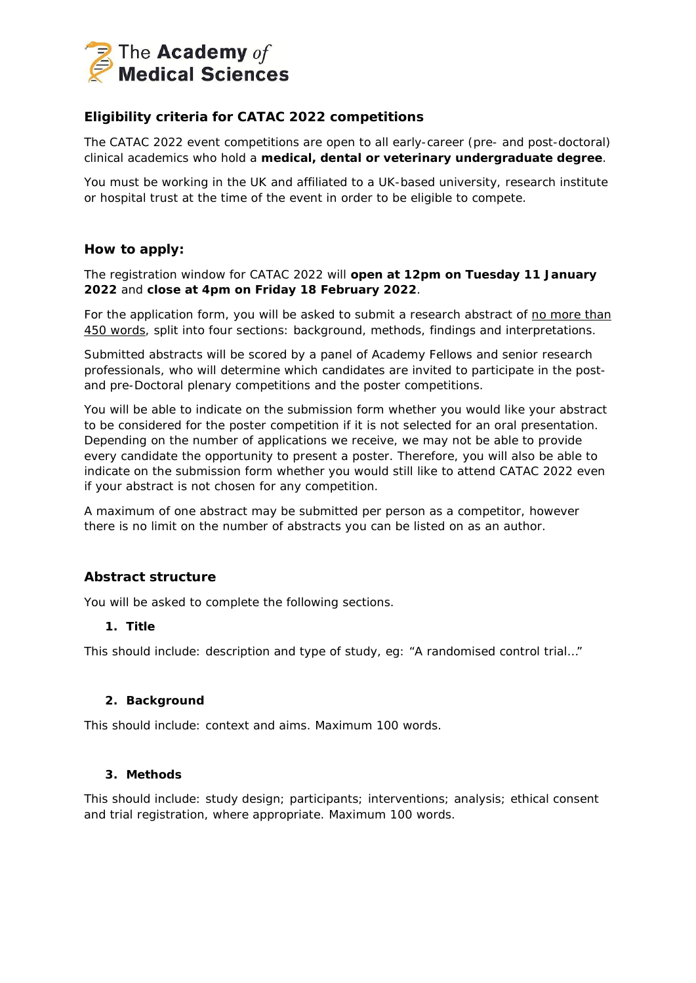

## **Eligibility criteria for CATAC 2022 competitions**

The CATAC 2022 event competitions are open to all early-career (pre- and post-doctoral) clinical academics who hold a **medical, dental or veterinary undergraduate degree**.

You must be working in the UK and affiliated to a UK-based university, research institute or hospital trust at the time of the event in order to be eligible to compete.

#### **How to apply:**

The registration window for CATAC 2022 will **open at 12pm on Tuesday 11 January 2022** and **close at 4pm on Friday 18 February 2022**.

For the application form, you will be asked to submit a research abstract of no more than 450 words, split into four sections: background, methods, findings and interpretations.

Submitted abstracts will be scored by a panel of Academy Fellows and senior research professionals, who will determine which candidates are invited to participate in the postand pre-Doctoral plenary competitions and the poster competitions.

You will be able to indicate on the submission form whether you would like your abstract to be considered for the poster competition if it is not selected for an oral presentation. Depending on the number of applications we receive, we may not be able to provide every candidate the opportunity to present a poster. Therefore, you will also be able to indicate on the submission form whether you would still like to attend CATAC 2022 even if your abstract is not chosen for any competition.

A maximum of one abstract may be submitted per person as a competitor, however there is no limit on the number of abstracts you can be listed on as an author.

### **Abstract structure**

You will be asked to complete the following sections.

#### **1. Title**

This should include: description and type of study, eg: "A randomised control trial…"

#### **2. Background**

This should include: context and aims. *Maximum 100 words.*

#### **3. Methods**

This should include: study design; participants; interventions; analysis; ethical consent and trial registration, where appropriate. *Maximum 100 words.*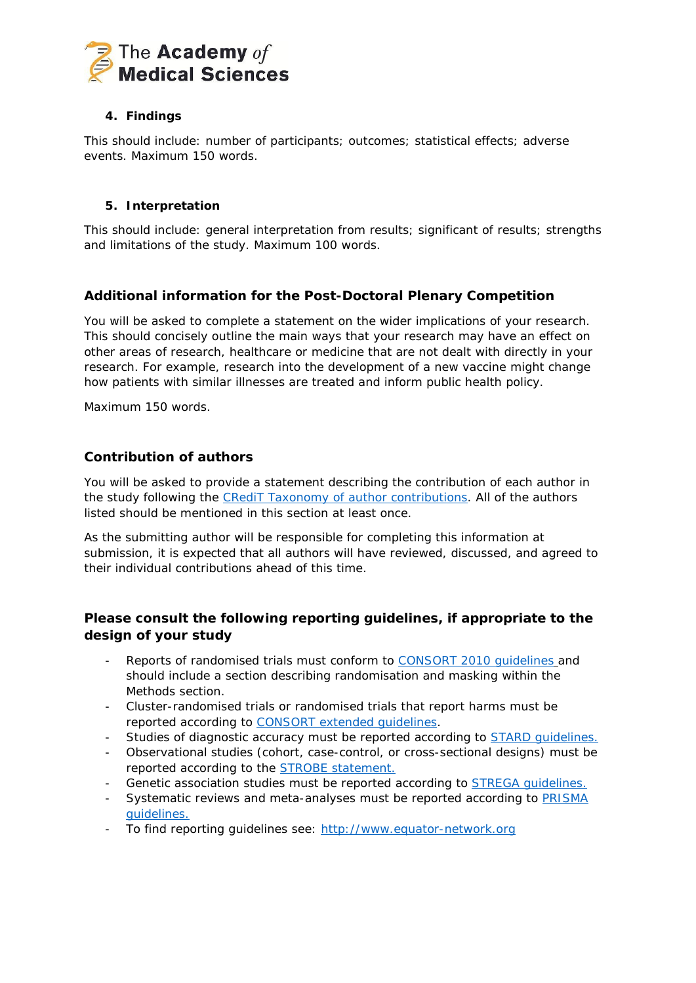

### **4. Findings**

This should include: number of participants; outcomes; statistical effects; adverse events. *Maximum 150 words.*

### **5. Interpretation**

This should include: general interpretation from results; significant of results; strengths and limitations of the study. *Maximum 100 words.*

## **Additional information for the Post-Doctoral Plenary Competition**

You will be asked to complete a statement on the wider implications of your research. This should concisely outline the main ways that your research may have an effect on other areas of research, healthcare or medicine that are not dealt with directly in your research. For example, research into the development of a new vaccine might change how patients with similar illnesses are treated and inform public health policy.

*Maximum 150 words.*

### **Contribution of authors**

You will be asked to provide a statement describing the contribution of each author in the study following the [CRediT Taxonomy of author contributions.](https://acmedsci.ac.uk/file-download/95261296) All of the authors listed should be mentioned in this section at least once.

As the submitting author will be responsible for completing this information at submission, it is expected that all authors will have reviewed, discussed, and agreed to their individual contributions ahead of this time.

## **Please consult the following reporting guidelines, if appropriate to the design of your study**

- Reports of randomised trials must conform to [CONSORT 2010 guidelines](http://www.consort-statement.org/consort-2010) and should include a section describing randomisation and masking within the Methods section.
- Cluster-randomised trials or randomised trials that report harms must be reported according to [CONSORT extended guidelines.](http://www.consort-statement.org/extensions)
- Studies of diagnostic accuracy must be reported according to [STARD guidelines.](http://www.equator-network.org/reporting-guidelines/stard/)
- Observational studies (cohort, case-control, or cross-sectional designs) must be reported according to the **STROBE** statement.
- Genetic association studies must be reported according to [STREGA guidelines.](http://www.equator-network.org/reporting-guidelines/strobe-strega/)
- Systematic reviews and meta-analyses must be reported according to PRISMA [guidelines.](http://www.prisma-statement.org/)
- To find reporting guidelines see: [http://www.equator-network.org](http://www.equator-network.org/)